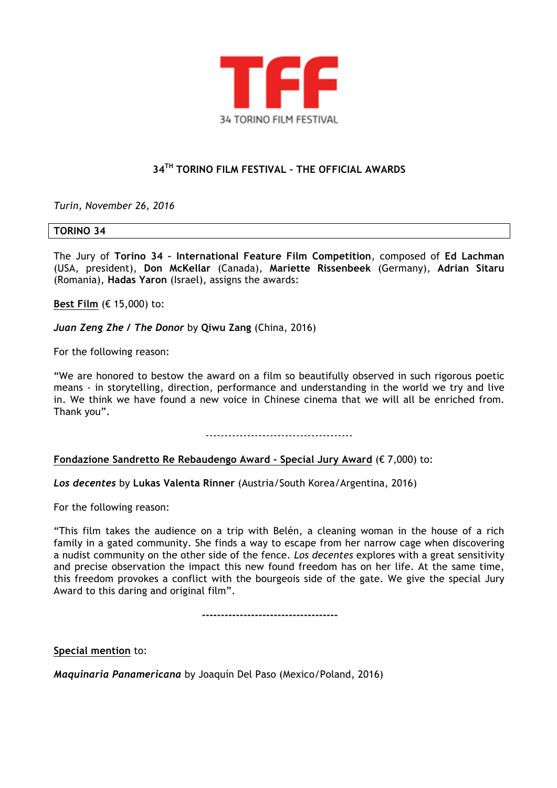

# **34TH TORINO FILM FESTIVAL – THE OFFICIAL AWARDS**

*Turin, November 26, 2016*

#### **TORINO 34**

The Jury of **Torino 34 – International Feature Film Competition**, composed of **Ed Lachman** (USA, president), **Don McKellar** (Canada), **Mariette Rissenbeek** (Germany), **Adrian Sitaru**  (Romania), **Hadas Yaron** (Israel), assigns the awards:

**Best Film** (€ 15,000) to:

*Juan Zeng Zhe / The Donor* by **Qiwu Zang** (China, 2016)

For the following reason:

"We are honored to bestow the award on a film so beautifully observed in such rigorous poetic means - in storytelling, direction, performance and understanding in the world we try and live in. We think we have found a new voice in Chinese cinema that we will all be enriched from. Thank you".

---------------------------------------

#### **Fondazione Sandretto Re Rebaudengo Award - Special Jury Award** (€ 7,000) to:

#### *Los decentes* by **Lukas Valenta Rinner** (Austria/South Korea/Argentina, 2016)

For the following reason:

"This film takes the audience on a trip with Belén, a cleaning woman in the house of a rich family in a gated community. She finds a way to escape from her narrow cage when discovering a nudist community on the other side of the fence. *Los decentes* explores with a great sensitivity and precise observation the impact this new found freedom has on her life. At the same time, this freedom provokes a conflict with the bourgeois side of the gate. We give the special Jury Award to this daring and original film".

 **------------------------------------**

**Special mention** to:

*Maquinaria Panamericana* by Joaquín Del Paso (Mexico/Poland, 2016)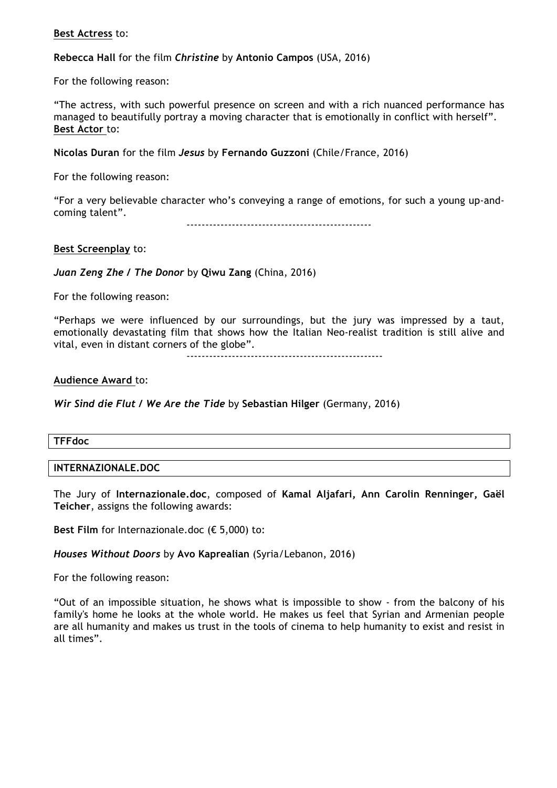## **Best Actress** to:

**Rebecca Hall** for the film *Christine* by **Antonio Campos** (USA, 2016)

For the following reason:

"The actress, with such powerful presence on screen and with a rich nuanced performance has managed to beautifully portray a moving character that is emotionally in conflict with herself". **Best Actor** to:

**Nicolas Duran** for the film *Jesus* by **Fernando Guzzoni** (Chile/France, 2016)

For the following reason:

"For a very believable character who's conveying a range of emotions, for such a young up-andcoming talent".

-------------------------------------------------

## **Best Screenplay** to:

*Juan Zeng Zhe / The Donor* by **Qiwu Zang** (China, 2016)

For the following reason:

"Perhaps we were influenced by our surroundings, but the jury was impressed by a taut, emotionally devastating film that shows how the Italian Neo-realist tradition is still alive and vital, even in distant corners of the globe".

----------------------------------------------------

## **Audience Award** to:

*Wir Sind die Flut / We Are the Tide* by **Sebastian Hilger** (Germany, 2016)

#### **TFFdoc**

#### **INTERNAZIONALE.DOC**

The Jury of **Internazionale.doc**, composed of **Kamal Aljafari, Ann Carolin Renninger, Gaël Teicher**, assigns the following awards:

**Best Film** for Internazionale.doc (€ 5,000) to:

## *Houses Without Doors* by **Avo Kaprealian** (Syria/Lebanon, 2016)

For the following reason:

"Out of an impossible situation, he shows what is impossible to show - from the balcony of his family's home he looks at the whole world. He makes us feel that Syrian and Armenian people are all humanity and makes us trust in the tools of cinema to help humanity to exist and resist in all times".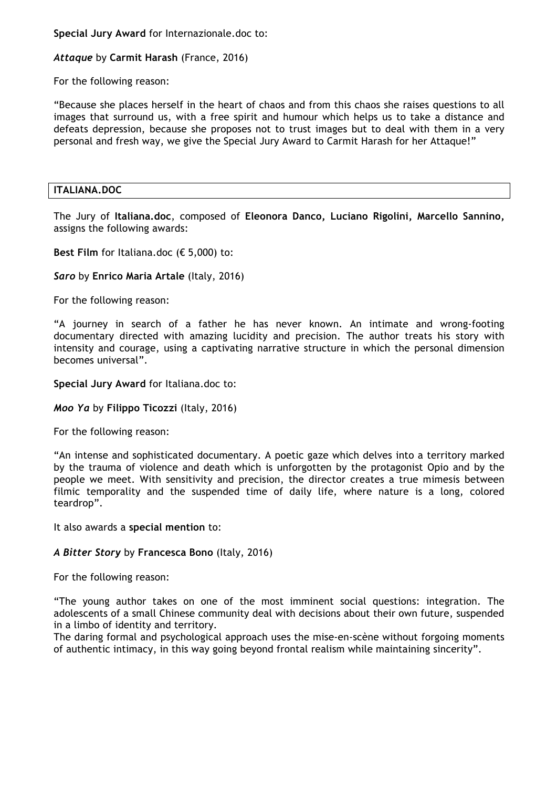**Special Jury Award** for Internazionale.doc to:

## *Attaque* by **Carmit Harash** (France, 2016)

For the following reason:

"Because she places herself in the heart of chaos and from this chaos she raises questions to all images that surround us, with a free spirit and humour which helps us to take a distance and defeats depression, because she proposes not to trust images but to deal with them in a very personal and fresh way, we give the Special Jury Award to Carmit Harash for her Attaque!"

## **ITALIANA.DOC**

The Jury of **Italiana.doc**, composed of **Eleonora Danco, Luciano Rigolini, Marcello Sannino,** assigns the following awards:

**Best Film** for Italiana.doc (€ 5,000) to:

## *Saro* by **Enrico Maria Artale** (Italy, 2016)

For the following reason:

"A journey in search of a father he has never known. An intimate and wrong-footing documentary directed with amazing lucidity and precision. The author treats his story with intensity and courage, using a captivating narrative structure in which the personal dimension becomes universal".

## **Special Jury Award** for Italiana.doc to:

#### *Moo Ya* by **Filippo Ticozzi** (Italy, 2016)

For the following reason:

"An intense and sophisticated documentary. A poetic gaze which delves into a territory marked by the trauma of violence and death which is unforgotten by the protagonist Opio and by the people we meet. With sensitivity and precision, the director creates a true mimesis between filmic temporality and the suspended time of daily life, where nature is a long, colored teardrop".

It also awards a **special mention** to:

## *A Bitter Story* by **Francesca Bono** (Italy, 2016)

For the following reason:

"The young author takes on one of the most imminent social questions: integration. The adolescents of a small Chinese community deal with decisions about their own future, suspended in a limbo of identity and territory.

The daring formal and psychological approach uses the mise-en-scène without forgoing moments of authentic intimacy, in this way going beyond frontal realism while maintaining sincerity".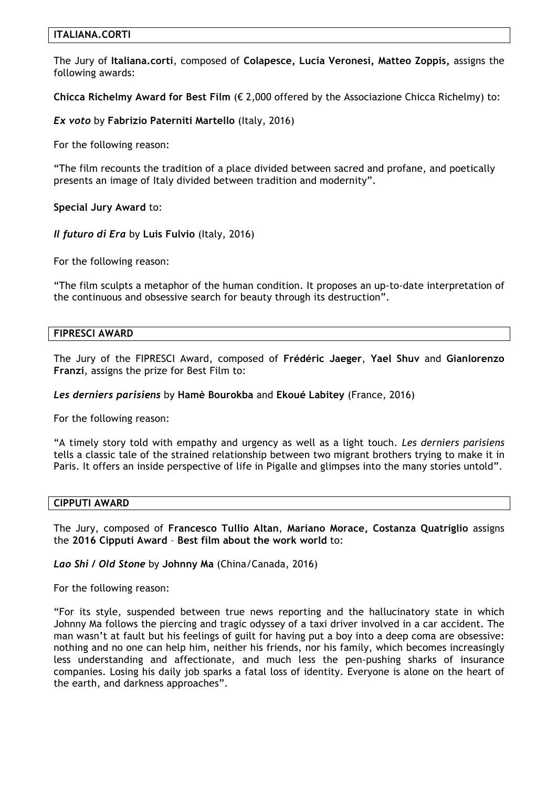## **ITALIANA.CORTI**

The Jury of **Italiana.corti**, composed of **Colapesce, Lucia Veronesi, Matteo Zoppis,** assigns the following awards:

**Chicca Richelmy Award for Best Film** (€ 2,000 offered by the Associazione Chicca Richelmy) to:

*Ex voto* by **Fabrizio Paterniti Martello** (Italy, 2016)

For the following reason:

"The film recounts the tradition of a place divided between sacred and profane, and poetically presents an image of Italy divided between tradition and modernity".

**Special Jury Award** to:

*Il futuro di Era* by **Luis Fulvio** (Italy, 2016)

For the following reason:

"The film sculpts a metaphor of the human condition. It proposes an up-to-date interpretation of the continuous and obsessive search for beauty through its destruction".

#### **FIPRESCI AWARD**

The Jury of the FIPRESCI Award, composed of **Frédéric Jaeger**, **Yael Shuv** and **Gianlorenzo Franzi**, assigns the prize for Best Film to:

#### *Les derniers parisiens* by **Hamè Bourokba** and **Ekoué Labitey** (France, 2016)

For the following reason:

"A timely story told with empathy and urgency as well as a light touch. *Les derniers parisiens* tells a classic tale of the strained relationship between two migrant brothers trying to make it in Paris. It offers an inside perspective of life in Pigalle and glimpses into the many stories untold".

#### **CIPPUTI AWARD**

The Jury, composed of **Francesco Tullio Altan**, **Mariano Morace, Costanza Quatriglio** assigns the **2016 Cipputi Award** – **Best film about the work world** to:

*Lao Shi* **/** *Old Stone* by **Johnny Ma** (China/Canada, 2016)

For the following reason:

"For its style, suspended between true news reporting and the hallucinatory state in which Johnny Ma follows the piercing and tragic odyssey of a taxi driver involved in a car accident. The man wasn't at fault but his feelings of guilt for having put a boy into a deep coma are obsessive: nothing and no one can help him, neither his friends, nor his family, which becomes increasingly less understanding and affectionate, and much less the pen-pushing sharks of insurance companies. Losing his daily job sparks a fatal loss of identity. Everyone is alone on the heart of the earth, and darkness approaches".